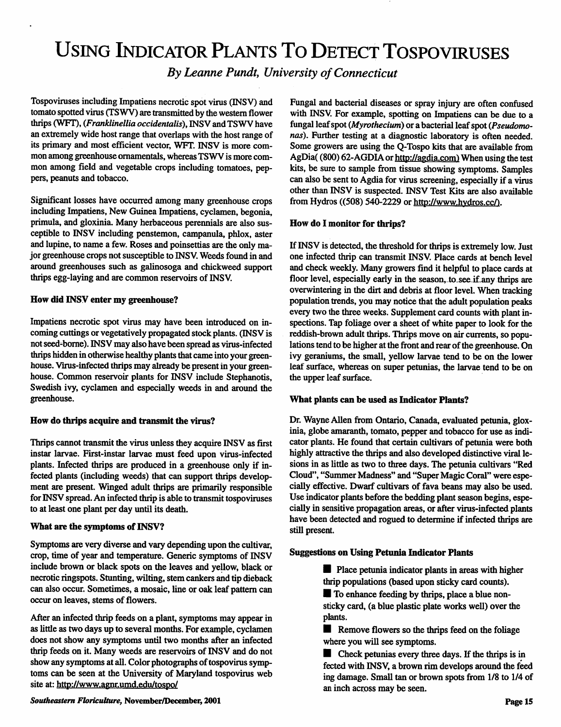# USING INDICATOR PLANTS TO DETECT TOSPOVIRUSES

**By Leanne Pundt, University of Connecticut** 

Tospoviruses including Impatiens necrotic spot virus (INSV) and tomato spotted virus (TSWV) are transmitted by the western flower thrips (WFT), (Franklinellia occidentalis), INSV and TSWV have an extremely wide host range that overlaps with the host range of its primary and most efficient vector, WFT. INSV is more com mon among greenhouse ornamentals, whereas TSWV is more com mon among field and vegetable crops including tomatoes, peppers, peanuts and tobacco.

Significant losses have occurred among manygreenhouse crops including Impatiens, New Guinea Impatiens, cyclamen, begonia, primula, and gloxinia. Many herbaceous perennials are also sus ceptible to INSV including penstemon, campanula, phlox, aster and lupine, to name a few. Roses and poinsettias are the only major greenhouse crops not susceptible to INSV.Weeds found in and around greenhouses such as galinosoga and chickweed support thrips egg-laying and are common reservoirs of INSV.

## *How did INSV enter my greenhouse?*

Impatiens necrotic spot virus may have been introduced on in coming cuttings or vegetatively propagated stock plants. (INSV is notseed-borne).INSVmay also have been spreadas virus-infected thrips hidden in otherwise healthy plants that came into your greenhouse. Virus-infected thrips may already be present in your greenhouse. Common reservoir plants for INSV include Stephanotis, Swedish ivy, cyclamen and especially weeds in and around the greenhouse.

# *How do thrips acquire and transmit the virus?*

Thrips cannot transmit the virus unless they acquire INSV as first instar larvae. First-instar larvae must feed upon virus-infected plants. Infected thrips are produced in a greenhouse only if in fected plants (including weeds) that can support thrips develop ment are present. Winged adult thrips are primarily responsible for INSV spread.An infected thrip is able to transmit tospoviruses to at least one plant per day until its death.

# *What* are the symptoms of INSV?

Symptoms are very diverse and vary depending upon the cultivar, crop, time of year and temperature. Generic symptoms of INSV include brown or black spots on the leaves and yellow, black or necrotic ringspots. Stunting, wilting, stem cankers and tip dieback can also occur. Sometimes, a mosaic, line or oak leaf pattern can occur on leaves, stems of flowers.

After an infected thrip feeds on a plant, symptoms may appear in as little as two days up to several months. For example, cyclamen does not show any symptoms until two months after an infected thrip feeds on it. Many weeds are reservoirs of INSV and do not show any symptoms at all. Color photographs of tospovirus symptoms can be seen at the University of Maryland tospovirus web site at: http://www.agnr.umd.edu/tospo/

Fungal and bacterial diseases or spray injury are often confused with INSV. For example, spotting on Impatiens can be due to a fungal leafspot**(Myrothecium)** or abacterial leafspot**(Pseudomonas).** Further testing at a diagnostic laboratory is often needed. Some growers are using the Q-Tospo kits that are available from AgDia( (800) 62-AGDIA or http://agdia.com) When using the test kits, be sure to sample from tissue showing symptoms. Samples can also be sent to Agdia for virus screening, especially if a virus other than INSV is suspected. INSV Test Kits are also available from Hydros ((508) 540-2229 or http://www.hydros.cc/).

# *How do I monitor for thrips?*

If INSV is detected, the threshold for thrips is extremely low. Just one infected thrip can transmit INSV. Place cards at bench level and check weekly. Many growers find it helpful to place cards at floor level, especially early in the season, to see if any thrips are overwintering in the dirt and debris at floor level. When tracking population trends, you may notice that the adult population peaks every two the three weeks. Supplement card counts with plant in spections. Tap foliage over a sheet of white paper to look for the reddish-brown adult thrips. Thrips move on air currents, so populations tend to be higher at the front and rear of the greenhouse. On ivy geraniums, the small, yellow larvae tend to be on the lower leaf surface, whereas on super petunias, the larvae tend to be on the upper leaf surface.

# *What plants can be used as Indicator Plants?*

Dr. Wayne Allen from Ontario, Canada, evaluated petunia, gloxinia, globe amaranth, tomato, pepper and tobacco for use as indi cator plants. He found that certain cultivars of petunia were both highly attractive the thrips and also developed distinctive viral lesions in as little as two to three days. The petunia cultivars "Red Cloud", "Summer Madness" and "Super Magic Coral" were espe cially effective. Dwarf cultivars of fava beans may also be used. Use indicator plants before the bedding plant season begins, espe cially in sensitive propagation areas, or after virus-infected plants have been detected and rogued to determine if infected thrips are still present.

# *Suggestions on Using Petunia Indicator Plants*

**I** Place petunia indicator plants in areas with higher thrip populations (based upon sticky card counts).

**I** To enhance feeding by thrips, place a blue nonsticky card, (a blue plastic plate works well) over the plants.

**I** Remove flowers so the thrips feed on the foliage where you will see symptoms.

**In Check petunias every three days. If the thrips is in** fected with INSV, a brown rim develops around the feed ing damage. Small tan or brown spots from 1/8 to 1/4 of an inch across may be seen.

**Southeastern Floriculture,** November/December, *2001*